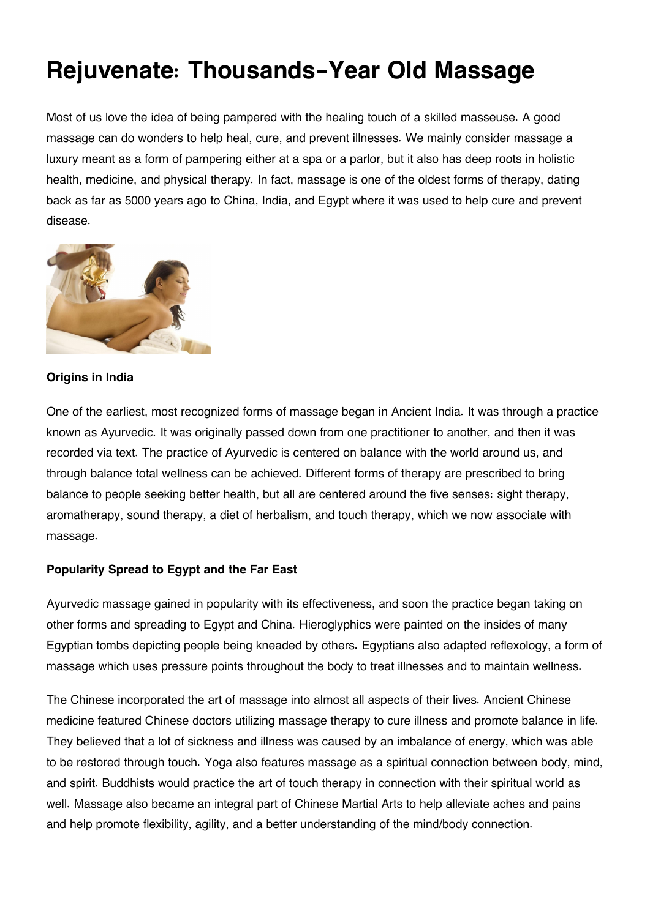# **Rejuvenate: Thousands-Year Old Massage**

Most of us love the idea of being pampered with the healing touch of a skilled masseuse. A good massage can do wonders to help heal, cure, and prevent illnesses. We mainly consider massage a luxury meant as a form of pampering either at a spa or a parlor, but it also has deep roots in holistic health, medicine, and physical therapy. In fact, massage is one of the oldest forms of therapy, dating back as far as 5000 years ago to China, India, and Egypt where it was used to help cure and prevent disease.



### **Origins in India**

One of the earliest, most recognized forms of massage began in Ancient India. It was through a practice known as Ayurvedic. It was originally passed down from one practitioner to another, and then it was recorded via text. The practice of Ayurvedic is centered on balance with the world around us, and through balance total wellness can be achieved. Different forms of therapy are prescribed to bring balance to people seeking better health, but all are centered around the five senses: sight therapy, aromatherapy, sound therapy, a diet of herbalism, and touch therapy, which we now associate with massage.

# **Popularity Spread to Egypt and the Far East**

Ayurvedic massage gained in popularity with its effectiveness, and soon the practice began taking on other forms and spreading to Egypt and China. Hieroglyphics were painted on the insides of many Egyptian tombs depicting people being kneaded by others. Egyptians also adapted reflexology, a form of massage which uses pressure points throughout the body to treat illnesses and to maintain wellness.

The Chinese incorporated the art of massage into almost all aspects of their lives. Ancient Chinese medicine featured Chinese doctors utilizing massage therapy to cure illness and promote balance in life. They believed that a lot of sickness and illness was caused by an imbalance of energy, which was able to be restored through touch. Yoga also features massage as a spiritual connection between body, mind, and spirit. Buddhists would practice the art of touch therapy in connection with their spiritual world as well. Massage also became an integral part of Chinese Martial Arts to help alleviate aches and pains and help promote flexibility, agility, and a better understanding of the mind/body connection.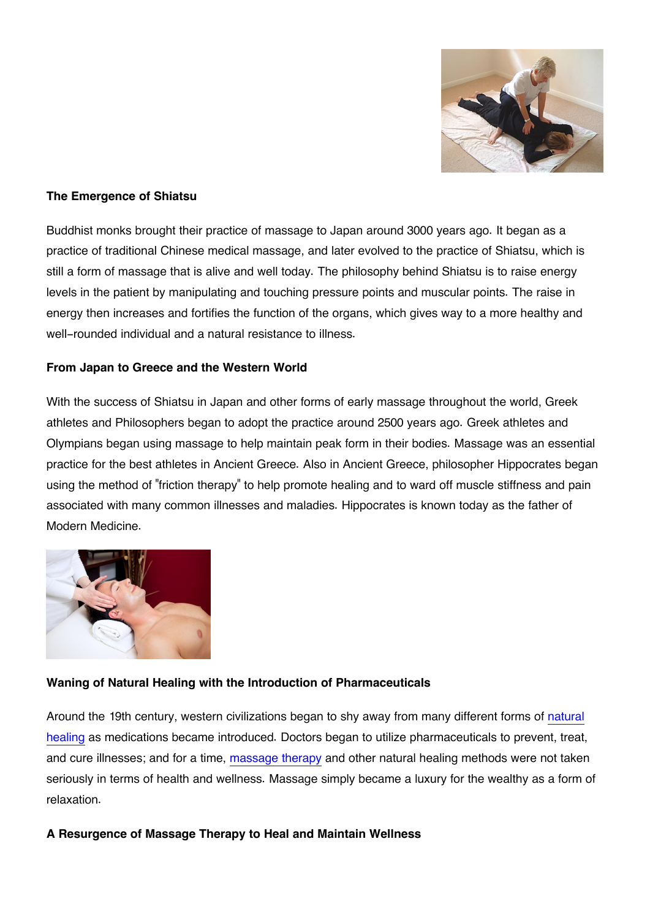

# **The Emergence of Shiatsu**

Buddhist monks brought their practice of massage to Japan around 3000 years ago. It began as a practice of traditional Chinese medical massage, and later evolved to the practice of Shiatsu, which is still a form of massage that is alive and well today. The philosophy behind Shiatsu is to raise energy levels in the patient by manipulating and touching pressure points and muscular points. The raise in energy then increases and fortifies the function of the organs, which gives way to a more healthy and well-rounded individual and a natural resistance to illness.

### **From Japan to Greece and the Western World**

With the success of Shiatsu in Japan and other forms of early massage throughout the world, Greek athletes and Philosophers began to adopt the practice around 2500 years ago. Greek athletes and Olympians began using massage to help maintain peak form in their bodies. Massage was an essential practice for the best athletes in Ancient Greece. Also in Ancient Greece, philosopher Hippocrates began using the method of "friction therapy" to help promote healing and to ward off muscle stiffness and pain associated with many common illnesses and maladies. Hippocrates is known today as the father of Modern Medicine.



# **Waning of Natural Healing with the Introduction of Pharmaceuticals**

Around the 19th century, western civilizations began to shy away from many different forms of [natural](http://www.spa-resorts.cz/eng/index.php) [healing](http://www.spa-resorts.cz/eng/index.php) as medications became introduced. Doctors began to utilize pharmaceuticals to prevent, treat, and cure illnesses; and for a time, [massage therapy](http://www.spa-resorts.cz/eng/kaleidoskop/therapeutic-massages-treatment-procedures-in-czech-health-spas-1242.html) and other natural healing methods were not taken seriously in terms of health and wellness. Massage simply became a luxury for the wealthy as a form of relaxation.

# **A Resurgence of Massage Therapy to Heal and Maintain Wellness**